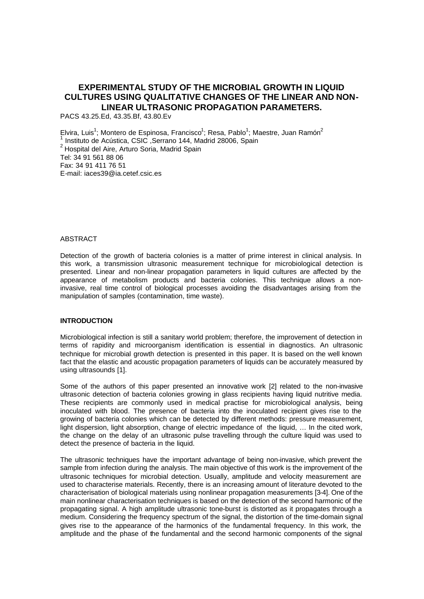# **EXPERIMENTAL STUDY OF THE MICROBIAL GROWTH IN LIQUID CULTURES USING QUALITATIVE CHANGES OF THE LINEAR AND NON-LINEAR ULTRASONIC PROPAGATION PARAMETERS.**

PACS 43.25.Ed, 43.35.Bf, 43.80.Ev

Elvira, Luis<sup>1</sup>; Montero de Espinosa, Francisco<sup>1</sup>; Resa, Pablo<sup>1</sup>; Maestre, Juan Ramón<sup>2</sup> 1 Instituto de Acústica, CSIC ,Serrano 144, Madrid 28006, Spain 2 Hospital del Aire, Arturo Soria, Madrid Spain Tel: 34 91 561 88 06 Fax: 34 91 411 76 51 E-mail: iaces39@ia.cetef.csic.es

# ABSTRACT

Detection of the growth of bacteria colonies is a matter of prime interest in clinical analysis. In this work, a transmission ultrasonic measurement technique for microbiological detection is presented. Linear and non-linear propagation parameters in liquid cultures are affected by the appearance of metabolism products and bacteria colonies. This technique allows a noninvasive, real time control of biological processes avoiding the disadvantages arising from the manipulation of samples (contamination, time waste).

# **INTRODUCTION**

Microbiological infection is still a sanitary world problem; therefore, the improvement of detection in terms of rapidity and microorganism identification is essential in diagnostics. An ultrasonic technique for microbial growth detection is presented in this paper. It is based on the well known fact that the elastic and acoustic propagation parameters of liquids can be accurately measured by using ultrasounds [1].

Some of the authors of this paper presented an innovative work [2] related to the non-invasive ultrasonic detection of bacteria colonies growing in glass recipients having liquid nutritive media. These recipients are commonly used in medical practise for microbiological analysis, being inoculated with blood. The presence of bacteria into the inoculated recipient gives rise to the growing of bacteria colonies which can be detected by different methods: pressure measurement, light dispersion, light absorption, change of electric impedance of the liquid, ... In the cited work, the change on the delay of an ultrasonic pulse travelling through the culture liquid was used to detect the presence of bacteria in the liquid.

The ultrasonic techniques have the important advantage of being non-invasive, which prevent the sample from infection during the analysis. The main objective of this work is the improvement of the ultrasonic techniques for microbial detection. Usually, amplitude and velocity measurement are used to characterise materials. Recently, there is an increasing amount of literature devoted to the characterisation of biological materials using nonlinear propagation measurements [3-4]. One of the main nonlinear characterisation techniques is based on the detection of the second harmonic of the propagating signal. A high amplitude ultrasonic tone-burst is distorted as it propagates through a medium. Considering the frequency spectrum of the signal, the distortion of the time-domain signal gives rise to the appearance of the harmonics of the fundamental frequency. In this work, the amplitude and the phase of the fundamental and the second harmonic components of the signal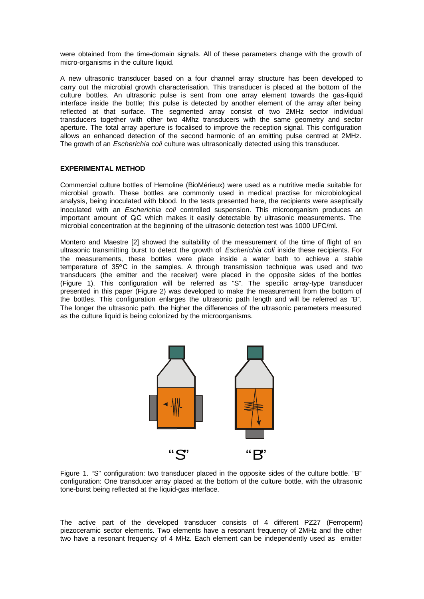were obtained from the time-domain signals. All of these parameters change with the growth of micro-organisms in the culture liquid.

A new ultrasonic transducer based on a four channel array structure has been developed to carry out the microbial growth characterisation. This transducer is placed at the bottom of the culture bottles. An ultrasonic pulse is sent from one array element towards the gas-liquid interface inside the bottle; this pulse is detected by another element of the array after being reflected at that surface. The segmented array consist of two 2MHz sector individual transducers together with other two 4Mhz transducers with the same geometry and sector aperture. The total array aperture is focalised to improve the reception signal. This configuration allows an enhanced detection of the second harmonic of an emitting pulse centred at 2MHz. The growth of an *Escherichia coli* culture was ultrasonically detected using this transducer.

#### **EXPERIMENTAL METHOD**

Commercial culture bottles of Hemoline (BioMérieux) were used as a nutritive media suitable for microbial growth. These bottles are commonly used in medical practise for microbiological analysis, being inoculated with blood. In the tests presented here, the recipients were aseptically inoculated with an *Escherichia coli* controlled suspension. This microorganism produces an important amount of QC which makes it easily detectable by ultrasonic measurements. The microbial concentration at the beginning of the ultrasonic detection test was 1000 UFC/ml.

Montero and Maestre [2] showed the suitability of the measurement of the time of flight of an ultrasonic transmitting burst to detect the growth of *Escherichia coli* inside these recipients. For the measurements, these bottles were place inside a water bath to achieve a stable temperature of 35ºC in the samples. A through transmission technique was used and two transducers (the emitter and the receiver) were placed in the opposite sides of the bottles (Figure 1). This configuration will be referred as "S". The specific array-type transducer presented in this paper (Figure 2) was developed to make the measurement from the bottom of the bottles. This configuration enlarges the ultrasonic path length and will be referred as "B". The longer the ultrasonic path, the higher the differences of the ultrasonic parameters measured as the culture liquid is being colonized by the microorganisms.



Figure 1. "S" configuration: two transducer placed in the opposite sides of the culture bottle. "B" configuration: One transducer array placed at the bottom of the culture bottle, with the ultrasonic tone-burst being reflected at the liquid-gas interface.

The active part of the developed transducer consists of 4 different PZ27 (Ferroperm) piezoceramic sector elements. Two elements have a resonant frequency of 2MHz and the other two have a resonant frequency of 4 MHz. Each element can be independently used as emitter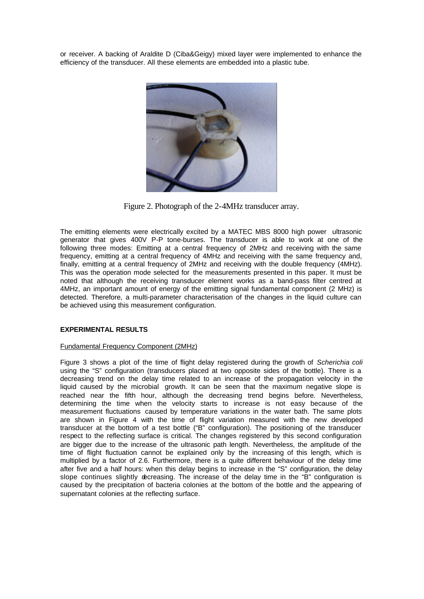or receiver. A backing of Araldite D (Ciba&Geigy) mixed layer were implemented to enhance the efficiency of the transducer. All these elements are embedded into a plastic tube.



Figure 2. Photograph of the 2-4MHz transducer array.

The emitting elements were electrically excited by a MATEC MBS 8000 high power ultrasonic generator that gives 400V P-P tone-burses. The transducer is able to work at one of the following three modes: Emitting at a central frequency of 2MHz and receiving with the same frequency, emitting at a central frequency of 4MHz and receiving with the same frequency and, finally, emitting at a central frequency of 2MHz and receiving with the double frequency (4MHz). This was the operation mode selected for the measurements presented in this paper. It must be noted that although the receiving transducer element works as a band-pass filter centred at 4MHz, an important amount of energy of the emitting signal fundamental component (2 MHz) is detected. Therefore, a multi-parameter characterisation of the changes in the liquid culture can be achieved using this measurement configuration.

### **EXPERIMENTAL RESULTS**

# Fundamental Frequency Component (2MHz)

Figure 3 shows a plot of the time of flight delay registered during the growth of *Scherichia coli* using the "S" configuration (transducers placed at two opposite sides of the bottle). There is a decreasing trend on the delay time related to an increase of the propagation velocity in the liquid caused by the microbial growth. It can be seen that the maximum negative slope is reached near the fifth hour, although the decreasing trend begins before. Nevertheless, determining the time when the velocity starts to increase is not easy because of the measurement fluctuations caused by temperature variations in the water bath. The same plots are shown in Figure 4 with the time of flight variation measured with the new developed transducer at the bottom of a test bottle ("B" configuration). The positioning of the transducer respect to the reflecting surface is critical. The changes registered by this second configuration are bigger due to the increase of the ultrasonic path length. Nevertheless, the amplitude of the time of flight fluctuation cannot be explained only by the increasing of this length, which is multiplied by a factor of 2.6. Furthermore, there is a quite different behaviour of the delay time after five and a half hours: when this delay begins to increase in the "S" configuration, the delay slope continues slightly decreasing. The increase of the delay time in the "B" configuration is caused by the precipitation of bacteria colonies at the bottom of the bottle and the appearing of supernatant colonies at the reflecting surface.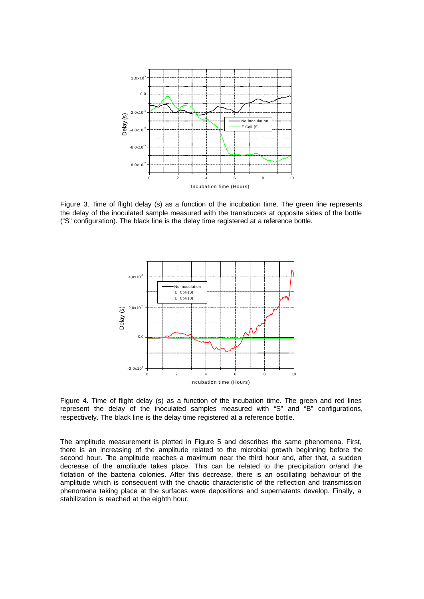

Figure 3. Time of flight delay (s) as a function of the incubation time. The green line represents the delay of the inoculated sample measured with the transducers at opposite sides of the bottle ("S" configuration). The black line is the delay time registered at a reference bottle.



Figure 4. Time of flight delay (s) as a function of the incubation time. The green and red lines represent the delay of the inoculated samples measured with "S" and "B" configurations, respectively. The black line is the delay time registered at a reference bottle.

The amplitude measurement is plotted in Figure 5 and describes the same phenomena. First, there is an increasing of the amplitude related to the microbial growth beginning before the second hour. The amplitude reaches a maximum near the third hour and, after that, a sudden decrease of the amplitude takes place. This can be related to the precipitation or/and the flotation of the bacteria colonies. After this decrease, there is an oscillating behaviour of the amplitude which is consequent with the chaotic characteristic of the reflection and transmission phenomena taking place at the surfaces were depositions and supernatants develop. Finally, a stabilization is reached at the eighth hour.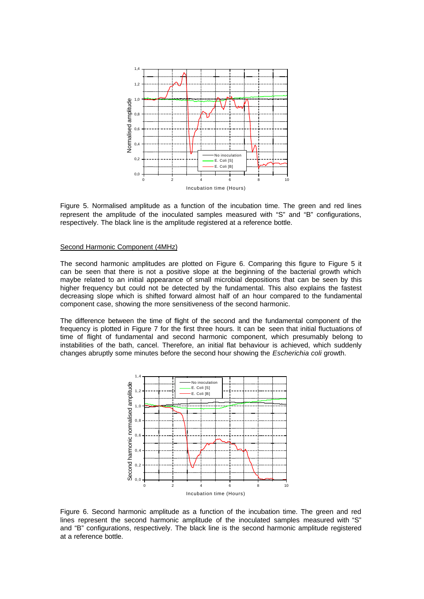

Figure 5. Normalised amplitude as a function of the incubation time. The green and red lines represent the amplitude of the inoculated samples measured with "S" and "B" configurations, respectively. The black line is the amplitude registered at a reference bottle.

#### Second Harmonic Component (4MHz)

The second harmonic amplitudes are plotted on Figure 6. Comparing this figure to Figure 5 it can be seen that there is not a positive slope at the beginning of the bacterial growth which maybe related to an initial appearance of small microbial depositions that can be seen by this higher frequency but could not be detected by the fundamental. This also explains the fastest decreasing slope which is shifted forward almost half of an hour compared to the fundamental component case, showing the more sensitiveness of the second harmonic.

The difference between the time of flight of the second and the fundamental component of the frequency is plotted in Figure 7 for the first three hours. It can be seen that initial fluctuations of time of flight of fundamental and second harmonic component, which presumably belong to instabilities of the bath, cancel. Therefore, an initial flat behaviour is achieved, which suddenly changes abruptly some minutes before the second hour showing the *Escherichia coli* growth.



Figure 6. Second harmonic amplitude as a function of the incubation time. The green and red lines represent the second harmonic amplitude of the inoculated samples measured with "S" and "B" configurations, respectively. The black line is the second harmonic amplitude registered at a reference bottle.